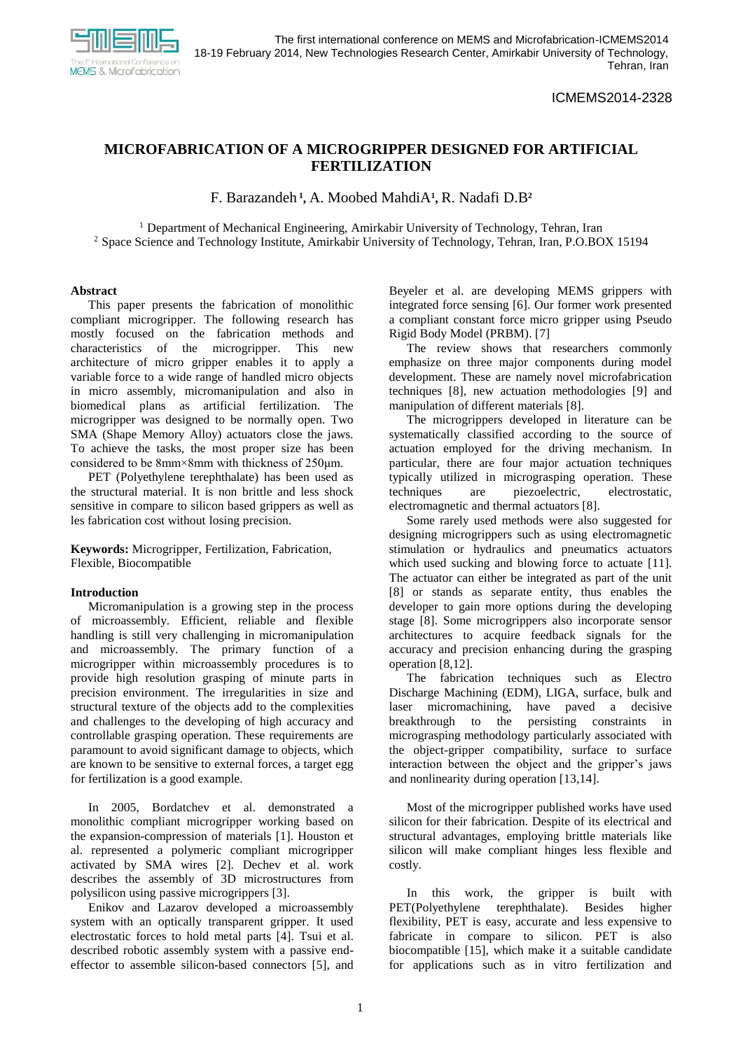

ICMEMS2014-2328

# **MICROFABRICATION OF A MICROGRIPPER DESIGNED FOR ARTIFICIAL FERTILIZATION**

F. Barazandeh **<sup>1</sup> ,** A. Moobed MahdiA**<sup>1</sup> ,** R. Nadafi D.B**<sup>2</sup>**

<sup>1</sup> Department of Mechanical Engineering, Amirkabir University of Technology, Tehran, Iran <sup>2</sup> Space Science and Technology Institute, Amirkabir University of Technology, Tehran, Iran, P.O.BOX 15194

### **Abstract**

This paper presents the fabrication of monolithic compliant microgripper. The following research has mostly focused on the fabrication methods and characteristics of the microgripper. This new architecture of micro gripper enables it to apply a variable force to a wide range of handled micro objects in micro assembly, micromanipulation and also in biomedical plans as artificial fertilization. The microgripper was designed to be normally open. Two SMA (Shape Memory Alloy) actuators close the jaws. To achieve the tasks, the most proper size has been considered to be 8mm×8mm with thickness of 250μm.

PET (Polyethylene terephthalate) has been used as the structural material. It is non brittle and less shock sensitive in compare to silicon based grippers as well as les fabrication cost without losing precision.

**Keywords:** Microgripper, Fertilization, Fabrication, Flexible, Biocompatible

# **Introduction**

Micromanipulation is a growing step in the process of microassembly. Efficient, reliable and flexible handling is still very challenging in micromanipulation and microassembly. The primary function of a microgripper within microassembly procedures is to provide high resolution grasping of minute parts in precision environment. The irregularities in size and structural texture of the objects add to the complexities and challenges to the developing of high accuracy and controllable grasping operation. These requirements are paramount to avoid significant damage to objects, which are known to be sensitive to external forces, a target egg for fertilization is a good example.

In 2005, Bordatchev et al. demonstrated a monolithic compliant microgripper working based on the expansion-compression of materials [1]. Houston et al. represented a polymeric compliant microgripper activated by SMA wires [2]. Dechev et al. work describes the assembly of 3D microstructures from polysilicon using passive microgrippers [3].

Enikov and Lazarov developed a microassembly system with an optically transparent gripper. It used electrostatic forces to hold metal parts [4]. Tsui et al. described robotic assembly system with a passive endeffector to assemble silicon-based connectors [5], and Beyeler et al. are developing MEMS grippers with integrated force sensing [6]. Our former work presented a compliant constant force micro gripper using Pseudo Rigid Body Model (PRBM). [7]

The review shows that researchers commonly emphasize on three major components during model development. These are namely novel microfabrication techniques [8], new actuation methodologies [9] and manipulation of different materials [8].

The microgrippers developed in literature can be systematically classified according to the source of actuation employed for the driving mechanism. In particular, there are four major actuation techniques typically utilized in micrograsping operation. These<br>techniques are piezoelectric, electrostatic, techniques are piezoelectric, electromagnetic and thermal actuators [8].

Some rarely used methods were also suggested for designing microgrippers such as using electromagnetic stimulation or hydraulics and pneumatics actuators which used sucking and blowing force to actuate [11]. The actuator can either be integrated as part of the unit [8] or stands as separate entity, thus enables the developer to gain more options during the developing stage [8]. Some microgrippers also incorporate sensor architectures to acquire feedback signals for the accuracy and precision enhancing during the grasping operation [8,12].

The fabrication techniques such as Electro Discharge Machining (EDM), LIGA, surface, bulk and laser micromachining, have paved a decisive breakthrough to the persisting constraints in micrograsping methodology particularly associated with the object-gripper compatibility, surface to surface interaction between the object and the gripper's jaws and nonlinearity during operation [13,14].

Most of the microgripper published works have used silicon for their fabrication. Despite of its electrical and structural advantages, employing brittle materials like silicon will make compliant hinges less flexible and costly.

In this work, the gripper is built with PET(Polyethylene terephthalate). Besides higher flexibility, PET is easy, accurate and less expensive to fabricate in compare to silicon. PET is also biocompatible [15], which make it a suitable candidate for applications such as in vitro fertilization and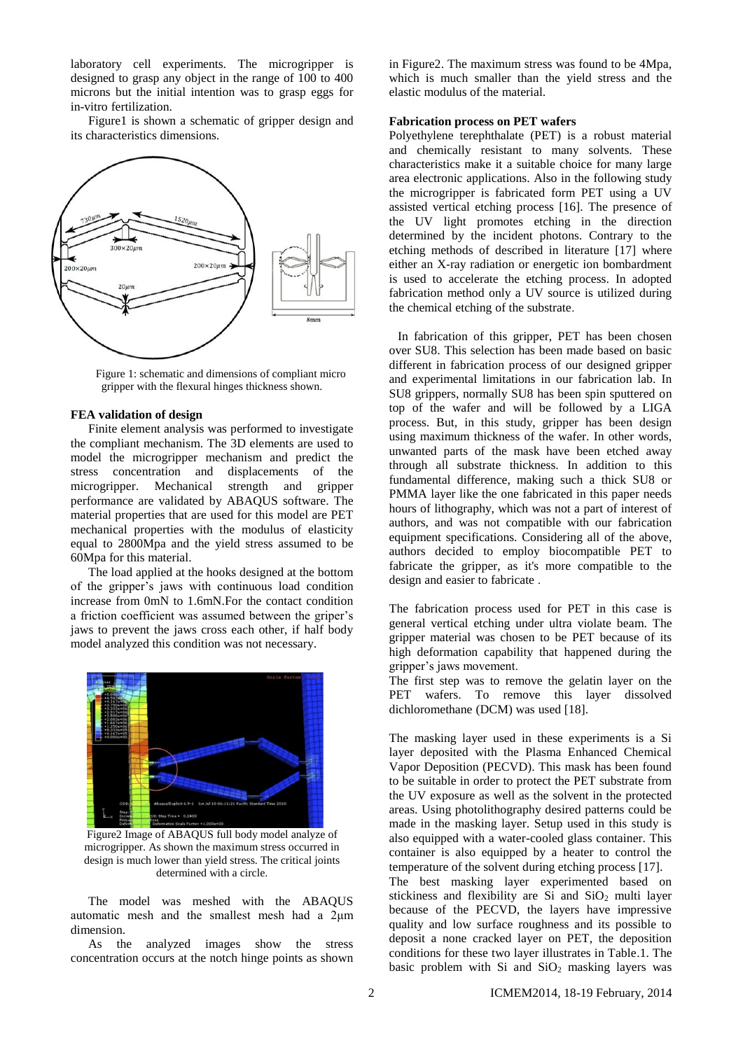laboratory cell experiments. The microgripper is designed to grasp any object in the range of 100 to 400 microns but the initial intention was to grasp eggs for in-vitro fertilization.

Figure1 is shown a schematic of gripper design and its characteristics dimensions.



Figure 1: schematic and dimensions of compliant micro gripper with the flexural hinges thickness shown.

### **FEA validation of design**

Finite element analysis was performed to investigate the compliant mechanism. The 3D elements are used to model the microgripper mechanism and predict the stress concentration and displacements of the microgripper. Mechanical strength and gripper performance are validated by ABAQUS software. The material properties that are used for this model are PET mechanical properties with the modulus of elasticity equal to 2800Mpa and the yield stress assumed to be 60Mpa for this material.

The load applied at the hooks designed at the bottom of the gripper's jaws with continuous load condition increase from 0mN to 1.6mN.For the contact condition a friction coefficient was assumed between the griper's jaws to prevent the jaws cross each other, if half body model analyzed this condition was not necessary.



Figure2 Image of ABAQUS full body model analyze of microgripper. As shown the maximum stress occurred in design is much lower than yield stress. The critical joints determined with a circle.

The model was meshed with the ABAQUS automatic mesh and the smallest mesh had a 2μm dimension.

As the analyzed images show the stress concentration occurs at the notch hinge points as shown in Figure2. The maximum stress was found to be 4Mpa, which is much smaller than the yield stress and the elastic modulus of the material.

### **Fabrication process on PET wafers**

Polyethylene terephthalate (PET) is a robust material and chemically resistant to many solvents. These characteristics make it a suitable choice for many large area electronic applications. Also in the following study the microgripper is fabricated form PET using a UV assisted vertical etching process [16]. The presence of the UV light promotes etching in the direction determined by the incident photons. Contrary to the etching methods of described in literature [17] where either an X-ray radiation or energetic ion bombardment is used to accelerate the etching process. In adopted fabrication method only a UV source is utilized during the chemical etching of the substrate.

In fabrication of this gripper, PET has been chosen over SU8. This selection has been made based on basic different in fabrication process of our designed gripper and experimental limitations in our fabrication lab. In SU8 grippers, normally SU8 has been spin sputtered on top of the wafer and will be followed by a LIGA process. But, in this study, gripper has been design using maximum thickness of the wafer. In other words, unwanted parts of the mask have been etched away through all substrate thickness. In addition to this fundamental difference, making such a thick SU8 or PMMA layer like the one fabricated in this paper needs hours of lithography, which was not a part of interest of authors, and was not compatible with our fabrication equipment specifications. Considering all of the above, authors decided to employ biocompatible PET to fabricate the gripper, as it's more compatible to the design and easier to fabricate .

The fabrication process used for PET in this case is general vertical etching under ultra violate beam. The gripper material was chosen to be PET because of its high deformation capability that happened during the gripper's jaws movement.

The first step was to remove the gelatin layer on the PET wafers. To remove this layer dissolved dichloromethane (DCM) was used [18].

The masking layer used in these experiments is a Si layer deposited with the Plasma Enhanced Chemical Vapor Deposition (PECVD). This mask has been found to be suitable in order to protect the PET substrate from the UV exposure as well as the solvent in the protected areas. Using photolithography desired patterns could be made in the masking layer. Setup used in this study is also equipped with a water-cooled glass container. This container is also equipped by a heater to control the temperature of the solvent during etching process [17].

The best masking layer experimented based on stickiness and flexibility are Si and  $SiO<sub>2</sub>$  multi layer because of the PECVD, the layers have impressive quality and low surface roughness and its possible to deposit a none cracked layer on PET, the deposition conditions for these two layer illustrates in Table.1. The basic problem with Si and  $SiO<sub>2</sub>$  masking layers was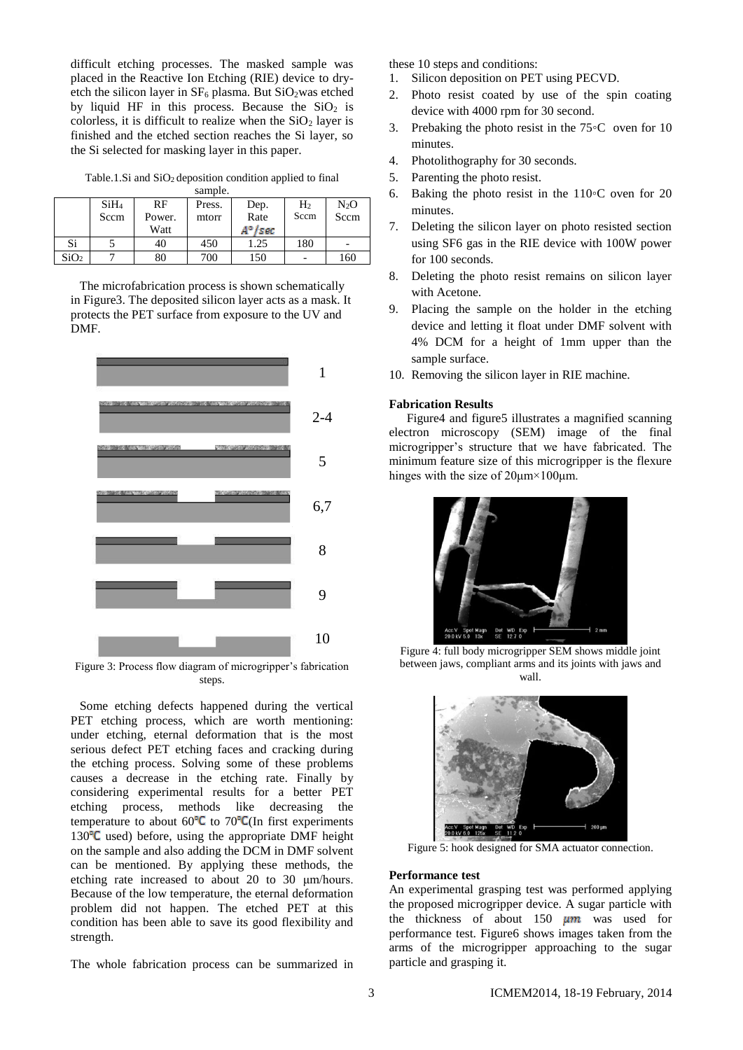difficult etching processes. The masked sample was placed in the Reactive Ion Etching (RIE) device to dryetch the silicon layer in  $SF_6$  plasma. But  $SiO_2$ was etched by liquid HF in this process. Because the  $SiO<sub>2</sub>$  is colorless, it is difficult to realize when the  $SiO<sub>2</sub>$  layer is finished and the etched section reaches the Si layer, so the Si selected for masking layer in this paper.

Table.1.Si and SiO<sub>2</sub> deposition condition applied to final

| sample.          |                  |        |        |        |                |                          |
|------------------|------------------|--------|--------|--------|----------------|--------------------------|
|                  | SiH <sub>4</sub> | RF     | Press. | Dep.   | H <sub>2</sub> | $N_2O$                   |
|                  | Sccm             | Power. | mtorr  | Rate   | Sccm           | Sccm                     |
|                  |                  | Watt   |        | A°∕sec |                |                          |
| Si               |                  | 40     | 450    | 1.25   | 180            | $\overline{\phantom{0}}$ |
| SiO <sub>2</sub> |                  | 80     | 700    | 150    |                | 160                      |

The microfabrication process is shown schematically in Figure3. The deposited silicon layer acts as a mask. It protects the PET surface from exposure to the UV and DMF.



Figure 3: Process flow diagram of microgripper's fabrication steps.

Some etching defects happened during the vertical PET etching process, which are worth mentioning: under etching, eternal deformation that is the most serious defect PET etching faces and cracking during the etching process. Solving some of these problems causes a decrease in the etching rate. Finally by considering experimental results for a better PET etching process, methods like decreasing the temperature to about  $60^{\circ}C$  to  $70^{\circ}C$  (In first experiments 130 $\degree$ C used) before, using the appropriate DMF height on the sample and also adding the DCM in DMF solvent can be mentioned. By applying these methods, the etching rate increased to about 20 to 30 μm/hours. Because of the low temperature, the eternal deformation problem did not happen. The etched PET at this condition has been able to save its good flexibility and strength.

The whole fabrication process can be summarized in

these 10 steps and conditions:

- 1. Silicon deposition on PET using PECVD.
- 2. Photo resist coated by use of the spin coating device with 4000 rpm for 30 second.
- 3. Prebaking the photo resist in the 75◦C oven for 10 minutes.
- 4. Photolithography for 30 seconds.
- 5. Parenting the photo resist.
- 6. Baking the photo resist in the 110◦C oven for 20 minutes.
- 7. Deleting the silicon layer on photo resisted section using SF6 gas in the RIE device with 100W power for 100 seconds.
- 8. Deleting the photo resist remains on silicon layer with Acetone.
- 9. Placing the sample on the holder in the etching device and letting it float under DMF solvent with 4% DCM for a height of 1mm upper than the sample surface.
- 10. Removing the silicon layer in RIE machine.

# **Fabrication Results**

Figure4 and figure5 illustrates a magnified scanning electron microscopy (SEM) image of the final microgripper's structure that we have fabricated. The minimum feature size of this microgripper is the flexure hinges with the size of  $20 \mu m \times 100 \mu m$ .



Figure 4: full body microgripper SEM shows middle joint between jaws, compliant arms and its joints with jaws and wall.



Figure 5: hook designed for SMA actuator connection.

### **Performance test**

An experimental grasping test was performed applying the proposed microgripper device. A sugar particle with the thickness of about 150  $\mu$ m was used for performance test. Figure6 shows images taken from the arms of the microgripper approaching to the sugar particle and grasping it.